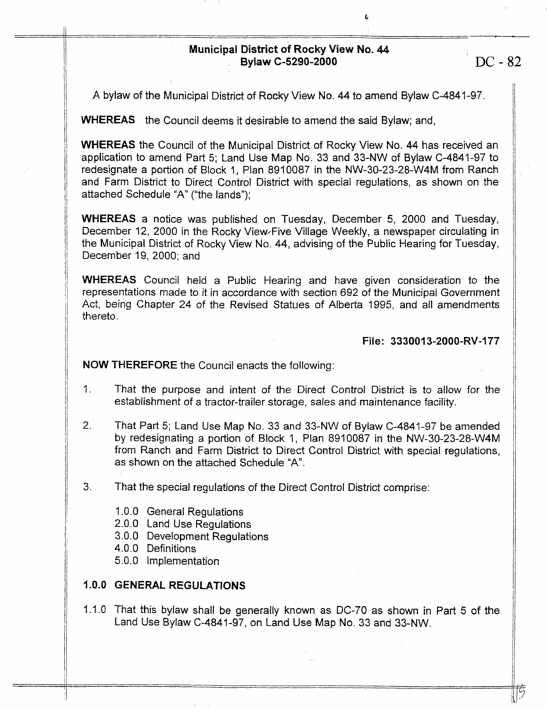# **Municipal District of Rocky View No. 44 Bylaw C-5290-2000 DC - 82**

**c** 

**A** byfaw of the Municipal District of Rocky View **No. 44** to amend Bylaw C-4841-97.

**WHEREAS** the Council deems it desirable to amend the said Bylaw; and,

**WHEREAS** the Council of the Municipal District of Rocky View No. **44** has received an application to amend Part 5; Land Use Map No. 33 and 33-NW of Bylaw C-4841-97 to redesignate a portion **of** Block 1, Plan 8910087 in the NW-30-23-28-VV4M from Ranch and Farm District to Direct Control District with special regulations, as shown on the attached Schedule "A" ("the lands");

**WHEREAS a** notice was published on Tuesday, December 5, 2000 and Tuesday, December 12, 2000 in the Rocky View-Five Village Weekly, a newspaper circulating in the Municipal District of Rocky View No. **44,** advising of the Public Hearing for Tuesday, December 19, 2000; and

**WHEREAS** Council held a Public Hearing and have given consideration to the representations made to it in accordance with section 692 *of* the Municipal Government Act, being Chapter 24 of the Revised Statues of Alberta 1995, and all amendments thereto.

**File: 333001 3-2000-WV-I77** 

**NOW THEREFORE** the Council enacts the following:

- I. That the purpose and intent of the Direct Control *District is to* allow *for* the establishment of a tractor-trailer storage, sales and maintenance facility.
- *2.* That Part 5; Land Use Map No. **33** and 33-NW of Bylaw C-4841-97 be amended by redesignating a portion of Block I, Plan 8910087 in the NW-30-23-28-VV4M from Ranch and Farm District to Direct Control District with special regulations, as **shown** on the attached Schedule "A".
- **3.** That the special regulations *of* the Direct Control District comprise:
	- 1 *.O.O* General Regulations
	- 20.0 Land **Use** Regulations
	- 3.0.0 Development Regulations
	- 4.0.0 Definitions

-

5 .O. 0 Implementation

# I **.O.O GENERAL REGULATIONS**

1.1.0 That this **bylaw** shall **be** generally known **as** DC-70 as shown in Part 5 of the land **Use Bylaw** C-4841-97, on Land Use Map No. 33 and 33-NW.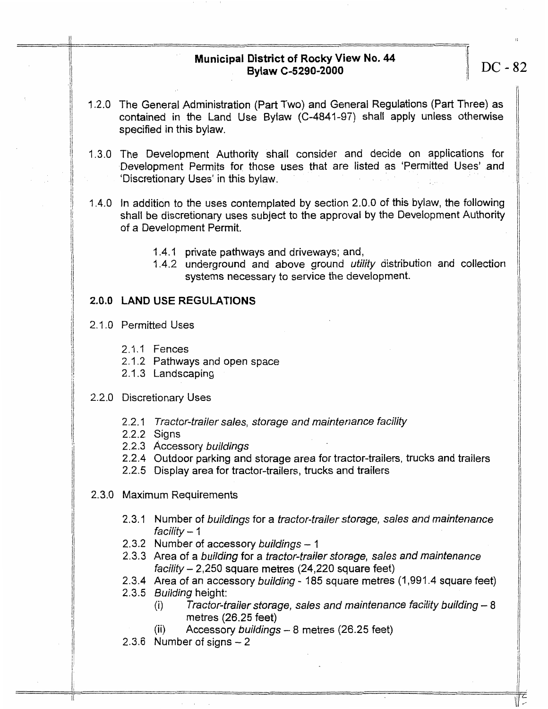# **Municipal District of Rocky View No. 44**  Bylaw C-5290-2000 **IDC-82**

- **<sup>A</sup>**2.0 **The** General Administration (Part Two) and General Regulations (Part Three) **as**  contained in the Land **Use** Bylaw (C-4841-97) shall **apply unless** otherwise **specified** in this bylaw.
- I **.3.0** The Development Authority shall consider and decide on applications for Development Permits for *those* **uses** that are listed as 'Permitted Uses' and 'Discretionary **Uses'** in this bylaw.
- 1.4.0 In addition to the uses contemplated **by** section 2.0.0 of this bylaw, the following shall be discretionary uses subject to the approval **by** the Development Authority of a Development Permit.
	- I **.4.** I private pathways and driveways; and,
	- 1.4.2 underground and **above** ground *utility* distribution and collection systems necessary to service the development.

# **2.0.0 LAND USE REGULATIONS**

2.1 **.O** Permitted Uses

**I L** 

- 2.1.1 Fences
- 2.1.2 Pathways and open space 2. I **-3** Landscaping
- 

#### 2.2.0 Discretionary Uses

- 2.2.1 *Tracfor-frailer sales, sforage and maintenance facility*
- *2.2.2* Signs
- 2.2.3 Accessory *buildings*
- 2.2.4 Outdoor parking and **storage** area for tractor-trailers, trucks and **trailers**
- 2.2.5 Display **area** for tractor-trailers, trucks and traiiers
- 2.3.0 Maximum Requirements
	- 2.3.1 Number of *buildings* for a *tractor-frailer sforage, sales and maintenance facility*  I 2.3.2 Number of accessory *buildings* - 1
	-
	- *2.3.3* Area of a *building* for a *tractor-frailer storage, sales and maintenance faciiify* - *2,250* square **metres** (24,220 **square** feet)
	- 2.3.4 Area of an accessory *building*  185 **square** metres (I ,991.4 **square** feet) 2.3.5 *Building* height:
		- (i) *Tractor-trailer storage, sales and maintenance facility building 8* metres (26.25 feet)
		- (ii) Accessory *buildings* 8 metres (26.25 feet)
	- 2.3.6 Number *of* **signs**  2

I,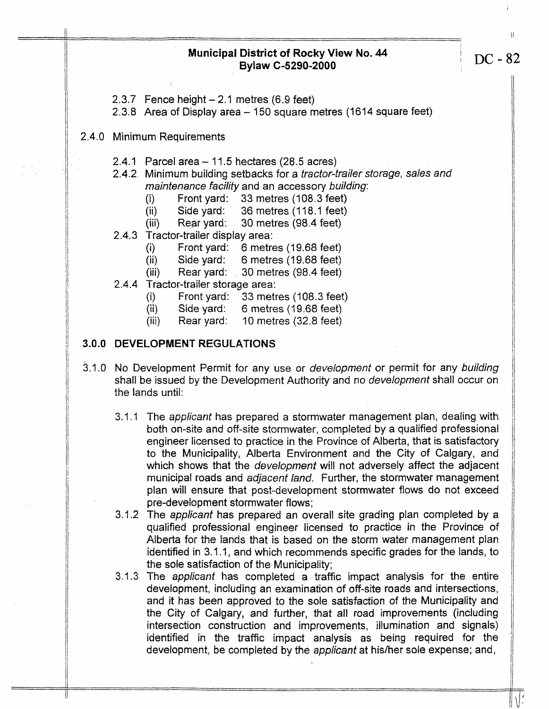#### **Municipal District of Rocky View No. 44 DC** - 82 **Bylaw C-5290-2000**

 $2.3.7$  Fence height  $-2.1$  metres (6.9 feet)

**2.3.8** Area of Display **area** - 150 square **metres** (1614 square feet)

#### 2.4.0 Minimum Requirements

- 2.4.1 Parcel area 11.5 hectares (28.5 acres)
- 2.4.2 Minimum building setbacks for a *tractor-trailer storage, sales and maintenance* facilify and an accessory *building:* 
	-
	- mamemance hading and an accessory bane<br>
	(i) Front yard: 33 metres (108.3 feet)<br>
	(ii) Side yard: 36 metres (118.1 feet)
	- **(iii)** Rear yard: 30 metres **(98.4** feet)
- 2.4.3 Tractor-trailer display area:
	- (i) Front yard: 6 metres (19.68 feet)<br>
	(ii) Side yard: 6 metres (19.68 feet)
	- (ii) Side yard: 6 metres (19.68 feet)<br>(iii) Rear yard: 30 metres (98.4 feet)
	-
- 2.4.4 Tractor-trailer storage area:
	- (i) Front yard: 33 metres (108.3 feet)
	- (ii) Side yard: *6* metres (79.68 feet)
	- (iii) Rear yard: **?O** metres (32.8 feet)

#### **3.0.0 DEVELOPMENT REGULATIONS**

- 3.1.0 **No** Development Permit for any use or *development* or permit for any *building*  shall be issued by the Development Authority and no *development* shall occur on the lands until:
	- 3.1 .I The **applicanf** has prepared a stormwater management pian, dealing with both on-site and off-site stormwater, completed by a qualified professional engineer licensed to practice in the Province of Alberta, that *is* satisfactory to the Municipality, Alberta Environment and the City *of* Calgary, and which **shows** that the *development* will not adversely affect the adjacent municipal roads and adjacent *land.* Further, the stormwater management pian will ensure that post-development stormwater flows do not exceed pre-development stormwater flows;
	- 3.1.2 The *applicant* has prepared an overall site grading plan completed **by** a qualified professional engineer licensed to practice in the Province of Alberta for the lands that is based on the storm water management plan identified in 3.1 .I, and which recommends specific grades **for** the lands, to the sole satisfaction of the Municipality;
	- **3.1.3**  The *applicant* **has** completed a traffic impact **analysis** for the entire development, including an examination of off-site roads and intersections, and it has **been** approved to the sole satisfaction of the Municipality and the City of Calgary, and further, that ail road improvements (including intersection construction and improvements, illumination and **signals)**  identified in the traffic impact analysis **as** being required for the development, be completed by the *applicant* at his/her sole expense; and,

 $\sqrt{\frac{1}{2}}$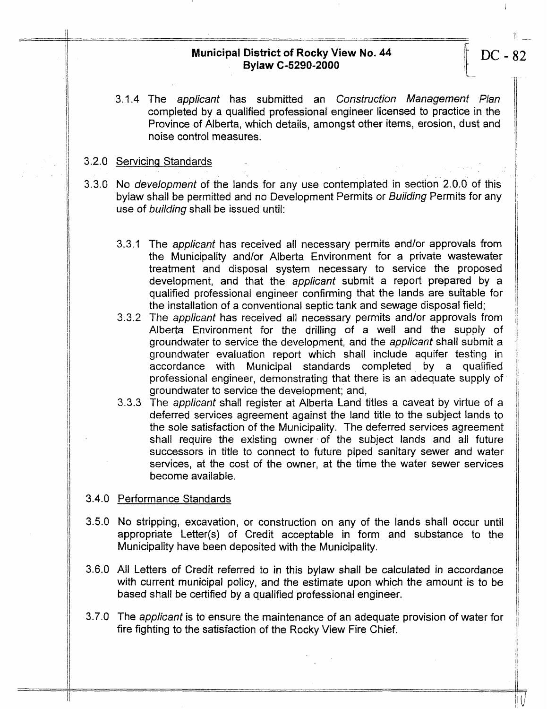# **Municipal District of Rocky View No. 44** DC - 82<br>Bylaw C-5290-2000

3.1.4 The *applicanf* has submitted an *Construction Management Plan* <sup>1</sup> completed by a qualified professional engineer licensed to practice **in** the Province of Alberta, which details, amongst other items, erosion, dust and noise control measures.

# 3.2.0 Servicing Standards

- **3.3.0 No** *development* of the lands for any use contemplated in section 2.0.0 of this bylaw shall be permitted and no Development Permits or *Building* Permits for any use *of building* shall be issued until:
	- 3.3.A The *applicanf* has received all necessary permits andlor approvals from the Municipality and/or Alberta Environment for a private wastewater treatment and disposal system necessary to service the proposed development, and that the *applicant* submit a report prepared by a qualified professional engineer confirming that the lands are suitable for the installation of a conventional septic tank and sewage disposal field;
	- 3.3.2 The *applicant* has received all necessary permits and/or approvals from Alberta Environment for the drilling of a well and the **supply** of groundwater to service the development, and the *applicant* shall submit a groundwater evaluation report which shall include aquifer testing in accordance with Municipal standards completed by a qualified professionai engineer, demonstrating that there **is** an adequate **supply** of groundwater to service the development; and,
	- 3.3.3 The *applicant* shall register at Alberta Land titles a caveat by virtue of a deferred services agreement against the land title io the subject lands to the sole satisfactjon *of* the Municipality. The deferred services agreement shall require the existing owner of the subject lands and all future successors in title to connect to future piped sanitary **sewer** and water services, at the cost of the owner, at the time the water sewer services become available.

#### 3.4.0 Performance Standards

- 3.5.0 No stripping, excavation, or construction on any of the lands shall occur until appropriate tetter(s) of Credit acceptabte in form and substance to the Municipality have been deposited with the Municipality.
- 3.6.0 **All** Letters of Credit referred to in this bylaw **shall** be calculated in accordance with current municipal policy, and the estimate upon which the amount *is to* **be based** shall **be** certified **by** a qualified professional engineer.
- 3.7.0 The *applicant* **is** to ensure the maintenance of an adequate provision of water for fire fighting to the satisfaction of the Rocky **View** Fire Chief.

I

I-

I

 $\parallel$ 

II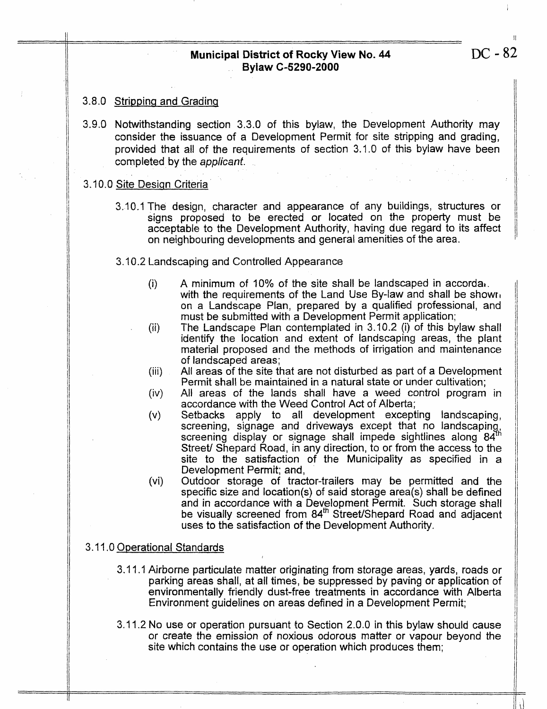# **Municipal District of Rocky View No. 44 Bylaw C-5290-2000**

# **3.8.0 Stripping and Grading**

3.9.0 Notwithstanding section 3.3.0 of this bylaw, the Development Authority **may**  consider the issuance of a Development Permit for site stripping and grading, provided that ail of the requirements of section 3.1.0 of this bylaw have been completed **by** the *applicant.* 

#### 3.10.0 Site Design Criteria

3.10.4 The design, character and appearance of any buildings, structures or signs proposed to **be** erected or located on the property must **be**  acceptable to the Development Authority, having due regard to its affect on neighbouring developments and general amenities of the area.

# 3.10.2 Landscaping and Controlled Appearance

- **A** minimum of 10% of the site shall **be** landscaped in accordat.  $(i)$ with the requirements of the Land Use By-law and shall be shown on a Landscape Plan, prepared by a qualified professional, and must **be** submitted with a Development Permit application;
- (ii) The **Landscape** Plan contemplated in 3.70.2 **(i)** of this bylaw shall identify the location and extent of landscaping areas, the plant material proposed and the methods of irrigation and maintenance of landscaped **areas;**
- All areas of the site that are not disturbed as part of a Deveiopment  $(iii)$ Permit shall be maintained in a natural state or under cultivation;
- **All** areas of the lands **shall** have a weed control program in  $(iv)$ accordance with the Weed Control Act of Alberta;
- Setbacks apply to all development excepting landscaping,  $(v)$ screening, signage and driveways except that no landscaping,<br>screening display or signage shall impede sightlines along 84<sup>th</sup> screening display or signage shall impede sightlines along  $84<sup>u</sup>$ Street/ Shepard Road, in any direction, to or from the access to the site to the satisfaction **of** the Municipaiity as specified in a Development Permit; **and,**
- $(vi)$ Outdoor storage **of** tractor-trailers may **be** permitted and the specific size and location(s) of said storage area(s) **shall** be defined and in accordance with a Development Permit. Such storage shall be visually screened from 84<sup>th</sup> Street/Shepard Road and adjacent uses to the satisfaction of the Development Authority.

# **3.** I I **.O** Operational Standards

- **3.** I 1. I Airborne particuJate matter originating from storage areas, yards, roads or parking areas shall, at all **times,** be **suppressed** by paving or application of environmentally friendly dust-free treatments in accordance with Alberta Environment guidelines on areas defined in a Development Permit;
- **3.** 1.2 No use or operation pursuant to Section 20.0 in this bylaw should cause or create the emission of **noxious** odorous matter or **vapour** beyond the site which contains the **use** or operation which produces them;

II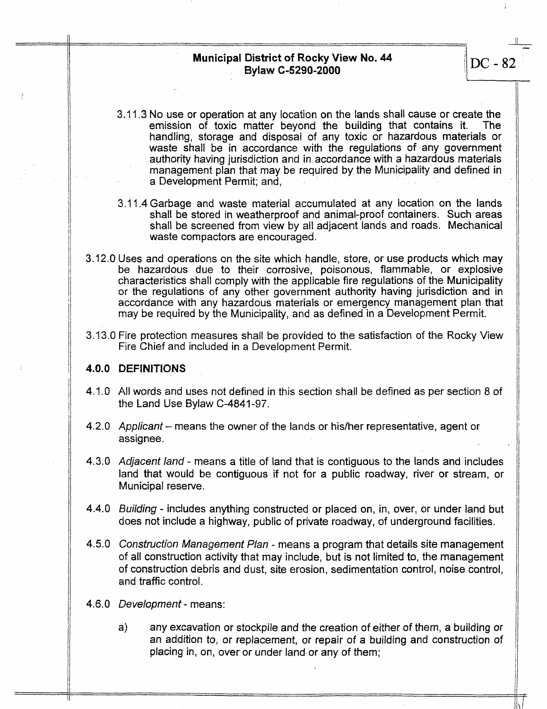**Municipal District of Rocky View No. 44 Bylaw C-5290-2000** ./DC **-82** 

- 3.1 1.3 No **use** or operation at any location on the lands shall cause or create the emission of toxic matter beyond the building that contains it. The handling, storage and disposai of any toxic or hazardous materials or waste **shall** be in accordance with the regulations of any government authority having jurisdiction and in accordance with a hazardous materials management plan that may be required **by** the Municipality and defined **in**  a Development Permit; and,
- 3. 11.4 Garbage and waste material accumulated at any location on the lands shall **be** stored in weatherproof and animal-proof containers. Such areas shall be screened from view by all adjacent lands and roads. Mechanical waste compactors are encouraged.
- 3.12.0 **Uses** and operations on the site which handle, store, or **use** products which may be hazardous due to their corrosive, poisonous, flammable, or **explosive**  characteristics **shall** comply with the applicable fire regulations of the Municipality or the regulations of **any** other government authority having jurisdiction and in accordance with any hazardous materials or emergency management plan that may be required by the Municipality, and **as** defined in a Development Permit.
- 3.A3.0 Fire protection measures shall be provided to the satisfaction of the Rocky **View**  Fire Chief and included **in** a Development Permit.

#### **4.0.0 DEFINITIONS**

- 4.1.0 All words and uses not defined in this section shall be defined as **per** section 8 of the Land Use Bylaw C-4841-97.
- **4.2.0**  *Applicant*  means the owner of the iands or hidher representative, agent or assignee.
- **4.3.0**  Adjacenf *land*  means **a** title of land that **is** contiguous to the lands and includes land **that** would be contiguous if not for a public roadway, river or stream, or Municipal reserve.
- **4.4.0**  *Building*  includes anything constructed or placed on, in, over, or under land **but**  does not include a highway, public of **private** roadway, of underground facilities.
- **4.5.0**  *Construction Management Plan*  means a program that details site management of **all** construction activity that may include, but is not limited to, the management of construction debris and dust, **site** erosion, sedimentation control, noise control, and traffic control.
- **4.6.0**  *Development*  means:
	- a) any excavation or stockpile and the creation of either *of* them, **a building of**  an addition to, or replacement, or repair *of* a building **and** construction of placing in, **on,** over or under land.or any of them;